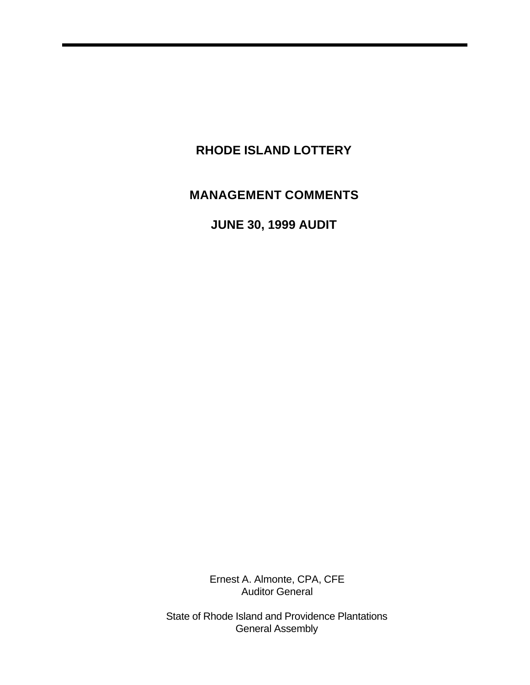# **RHODE ISLAND LOTTERY**

# **MANAGEMENT COMMENTS**

**JUNE 30, 1999 AUDIT** 

Ernest A. Almonte, CPA, CFE Auditor General

State of Rhode Island and Providence Plantations General Assembly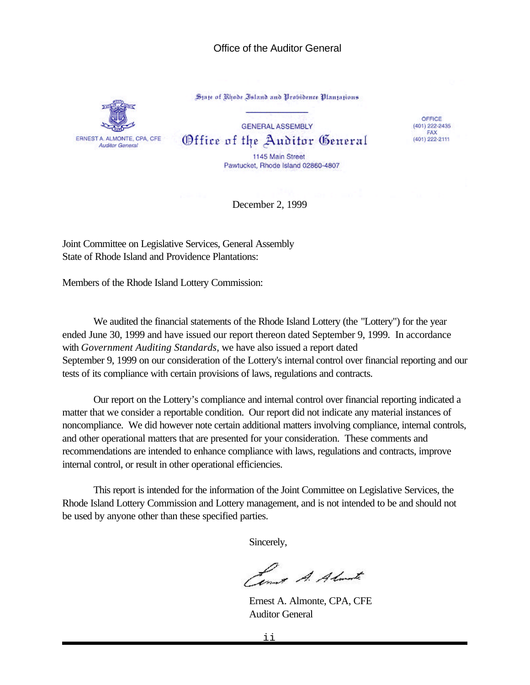#### Office of the Auditor General



State of Rhode Island and Probidence Plantations

**GENERAL ASSEMBLY** Office of the Auditor General

OFFICE  $(401)$  222-2435 FAX (401) 222-2111

1145 Main Street Pawtucket, Rhode Island 02860-4807

December 2, 1999

Joint Committee on Legislative Services, General Assembly State of Rhode Island and Providence Plantations:

Members of the Rhode Island Lottery Commission:

We audited the financial statements of the Rhode Island Lottery (the "Lottery") for the year ended June 30, 1999 and have issued our report thereon dated September 9, 1999. In accordance with *Government Auditing Standards*, we have also issued a report dated September 9, 1999 on our consideration of the Lottery's internal control over financial reporting and our tests of its compliance with certain provisions of laws, regulations and contracts.

Our report on the Lottery's compliance and internal control over financial reporting indicated a matter that we consider a reportable condition. Our report did not indicate any material instances of noncompliance. We did however note certain additional matters involving compliance, internal controls, and other operational matters that are presented for your consideration. These comments and recommendations are intended to enhance compliance with laws, regulations and contracts, improve internal control, or result in other operational efficiencies.

This report is intended for the information of the Joint Committee on Legislative Services, the Rhode Island Lottery Commission and Lottery management, and is not intended to be and should not be used by anyone other than these specified parties.

Sincerely,

Lower A. Almarte

Ernest A. Almonte, CPA, CFE Auditor General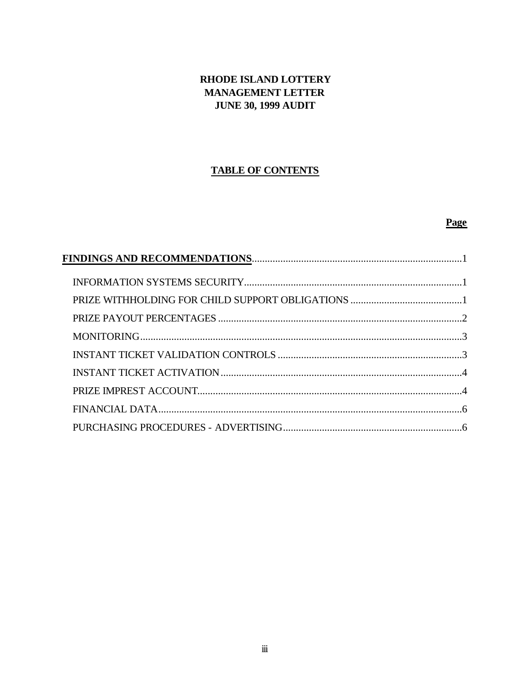# RHODE ISLAND LOTTERY **MANAGEMENT LETTER JUNE 30, 1999 AUDIT**

## **TABLE OF CONTENTS**

## Page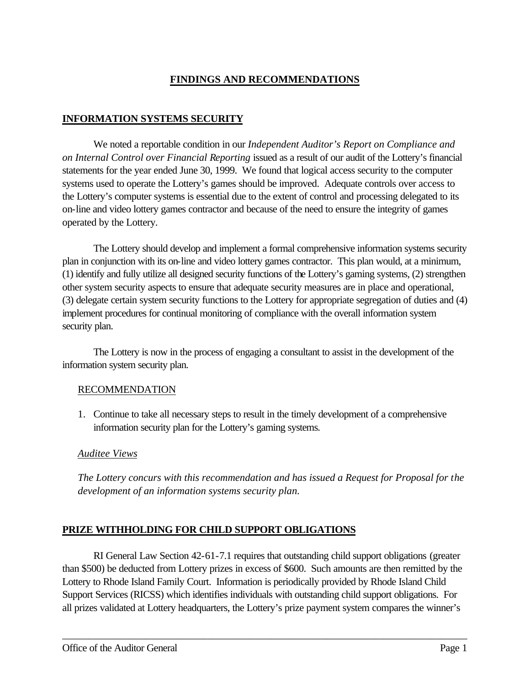# **FINDINGS AND RECOMMENDATIONS**

## **INFORMATION SYSTEMS SECURITY**

We noted a reportable condition in our *Independent Auditor's Report on Compliance and on Internal Control over Financial Reporting* issued as a result of our audit of the Lottery's financial statements for the year ended June 30, 1999. We found that logical access security to the computer systems used to operate the Lottery's games should be improved. Adequate controls over access to the Lottery's computer systems is essential due to the extent of control and processing delegated to its on-line and video lottery games contractor and because of the need to ensure the integrity of games operated by the Lottery.

The Lottery should develop and implement a formal comprehensive information systems security plan in conjunction with its on-line and video lottery games contractor. This plan would, at a minimum, (1) identify and fully utilize all designed security functions of the Lottery's gaming systems, (2) strengthen other system security aspects to ensure that adequate security measures are in place and operational, (3) delegate certain system security functions to the Lottery for appropriate segregation of duties and (4) implement procedures for continual monitoring of compliance with the overall information system security plan.

The Lottery is now in the process of engaging a consultant to assist in the development of the information system security plan.

#### RECOMMENDATION

1. Continue to take all necessary steps to result in the timely development of a comprehensive information security plan for the Lottery's gaming systems.

#### *Auditee Views*

*The Lottery concurs with this recommendation and has issued a Request for Proposal for the development of an information systems security plan.*

# **PRIZE WITHHOLDING FOR CHILD SUPPORT OBLIGATIONS**

RI General Law Section 42-61-7.1 requires that outstanding child support obligations (greater than \$500) be deducted from Lottery prizes in excess of \$600. Such amounts are then remitted by the Lottery to Rhode Island Family Court. Information is periodically provided by Rhode Island Child Support Services (RICSS) which identifies individuals with outstanding child support obligations. For all prizes validated at Lottery headquarters, the Lottery's prize payment system compares the winner's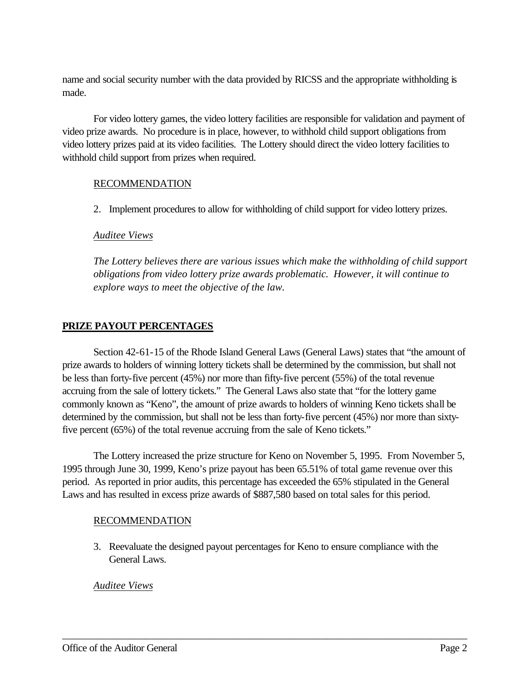name and social security number with the data provided by RICSS and the appropriate withholding is made.

For video lottery games, the video lottery facilities are responsible for validation and payment of video prize awards. No procedure is in place, however, to withhold child support obligations from video lottery prizes paid at its video facilities. The Lottery should direct the video lottery facilities to withhold child support from prizes when required.

# RECOMMENDATION

2. Implement procedures to allow for withholding of child support for video lottery prizes.

## *Auditee Views*

*The Lottery believes there are various issues which make the withholding of child support obligations from video lottery prize awards problematic. However, it will continue to explore ways to meet the objective of the law.*

# **PRIZE PAYOUT PERCENTAGES**

Section 42-61-15 of the Rhode Island General Laws (General Laws) states that "the amount of prize awards to holders of winning lottery tickets shall be determined by the commission, but shall not be less than forty-five percent (45%) nor more than fifty-five percent (55%) of the total revenue accruing from the sale of lottery tickets." The General Laws also state that "for the lottery game commonly known as "Keno", the amount of prize awards to holders of winning Keno tickets shall be determined by the commission, but shall not be less than forty-five percent (45%) nor more than sixtyfive percent (65%) of the total revenue accruing from the sale of Keno tickets."

The Lottery increased the prize structure for Keno on November 5, 1995. From November 5, 1995 through June 30, 1999, Keno's prize payout has been 65.51% of total game revenue over this period. As reported in prior audits, this percentage has exceeded the 65% stipulated in the General Laws and has resulted in excess prize awards of \$887,580 based on total sales for this period.

# RECOMMENDATION

3. Reevaluate the designed payout percentages for Keno to ensure compliance with the General Laws.

\_\_\_\_\_\_\_\_\_\_\_\_\_\_\_\_\_\_\_\_\_\_\_\_\_\_\_\_\_\_\_\_\_\_\_\_\_\_\_\_\_\_\_\_\_\_\_\_\_\_\_\_\_\_\_\_\_\_\_\_\_\_\_\_\_\_\_\_\_\_\_\_\_\_\_\_\_\_

# *Auditee Views*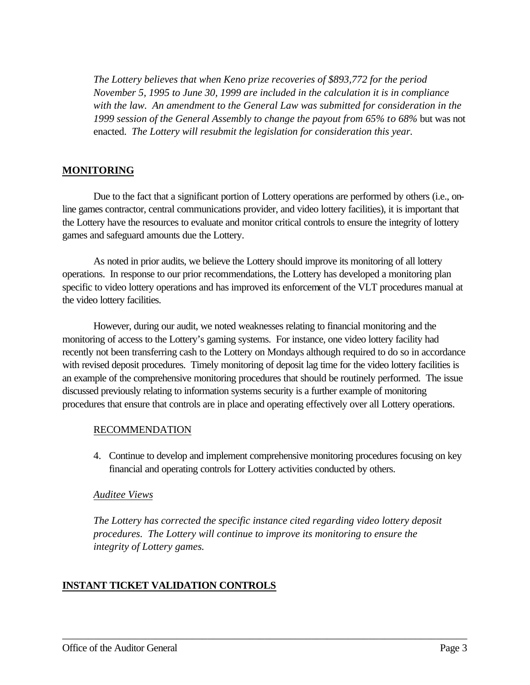*The Lottery believes that when Keno prize recoveries of \$893,772 for the period November 5, 1995 to June 30, 1999 are included in the calculation it is in compliance with the law. An amendment to the General Law was submitted for consideration in the 1999 session of the General Assembly to change the payout from 65% to 68%* but was not enacted. *The Lottery will resubmit the legislation for consideration this year.*

## **MONITORING**

Due to the fact that a significant portion of Lottery operations are performed by others (i.e., online games contractor, central communications provider, and video lottery facilities), it is important that the Lottery have the resources to evaluate and monitor critical controls to ensure the integrity of lottery games and safeguard amounts due the Lottery.

As noted in prior audits, we believe the Lottery should improve its monitoring of all lottery operations. In response to our prior recommendations, the Lottery has developed a monitoring plan specific to video lottery operations and has improved its enforcement of the VLT procedures manual at the video lottery facilities.

However, during our audit, we noted weaknesses relating to financial monitoring and the monitoring of access to the Lottery's gaming systems. For instance, one video lottery facility had recently not been transferring cash to the Lottery on Mondays although required to do so in accordance with revised deposit procedures. Timely monitoring of deposit lag time for the video lottery facilities is an example of the comprehensive monitoring procedures that should be routinely performed. The issue discussed previously relating to information systems security is a further example of monitoring procedures that ensure that controls are in place and operating effectively over all Lottery operations.

#### RECOMMENDATION

4. Continue to develop and implement comprehensive monitoring procedures focusing on key financial and operating controls for Lottery activities conducted by others.

#### *Auditee Views*

*The Lottery has corrected the specific instance cited regarding video lottery deposit procedures. The Lottery will continue to improve its monitoring to ensure the integrity of Lottery games.*

\_\_\_\_\_\_\_\_\_\_\_\_\_\_\_\_\_\_\_\_\_\_\_\_\_\_\_\_\_\_\_\_\_\_\_\_\_\_\_\_\_\_\_\_\_\_\_\_\_\_\_\_\_\_\_\_\_\_\_\_\_\_\_\_\_\_\_\_\_\_\_\_\_\_\_\_\_\_

# **INSTANT TICKET VALIDATION CONTROLS**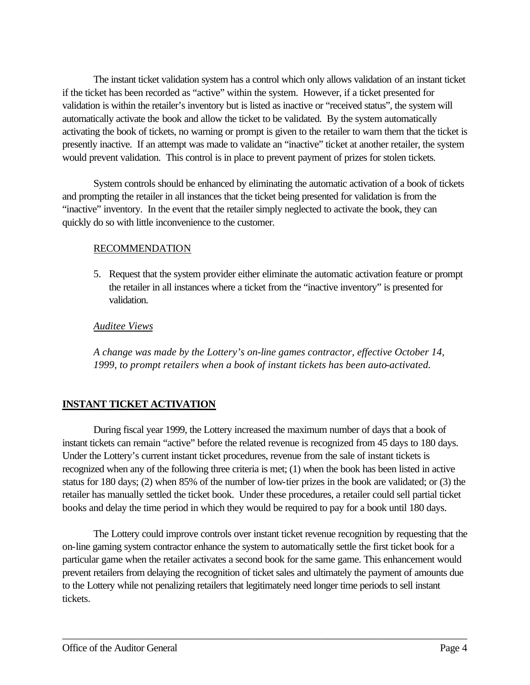The instant ticket validation system has a control which only allows validation of an instant ticket if the ticket has been recorded as "active" within the system. However, if a ticket presented for validation is within the retailer's inventory but is listed as inactive or "received status", the system will automatically activate the book and allow the ticket to be validated. By the system automatically activating the book of tickets, no warning or prompt is given to the retailer to warn them that the ticket is presently inactive. If an attempt was made to validate an "inactive" ticket at another retailer, the system would prevent validation. This control is in place to prevent payment of prizes for stolen tickets.

System controls should be enhanced by eliminating the automatic activation of a book of tickets and prompting the retailer in all instances that the ticket being presented for validation is from the "inactive" inventory. In the event that the retailer simply neglected to activate the book, they can quickly do so with little inconvenience to the customer.

#### RECOMMENDATION

5. Request that the system provider either eliminate the automatic activation feature or prompt the retailer in all instances where a ticket from the "inactive inventory" is presented for validation.

# *Auditee Views*

*A change was made by the Lottery's on-line games contractor, effective October 14, 1999, to prompt retailers when a book of instant tickets has been auto-activated.*

# **INSTANT TICKET ACTIVATION**

During fiscal year 1999, the Lottery increased the maximum number of days that a book of instant tickets can remain "active" before the related revenue is recognized from 45 days to 180 days. Under the Lottery's current instant ticket procedures, revenue from the sale of instant tickets is recognized when any of the following three criteria is met; (1) when the book has been listed in active status for 180 days; (2) when 85% of the number of low-tier prizes in the book are validated; or (3) the retailer has manually settled the ticket book. Under these procedures, a retailer could sell partial ticket books and delay the time period in which they would be required to pay for a book until 180 days.

The Lottery could improve controls over instant ticket revenue recognition by requesting that the on-line gaming system contractor enhance the system to automatically settle the first ticket book for a particular game when the retailer activates a second book for the same game. This enhancement would prevent retailers from delaying the recognition of ticket sales and ultimately the payment of amounts due to the Lottery while not penalizing retailers that legitimately need longer time periods to sell instant tickets.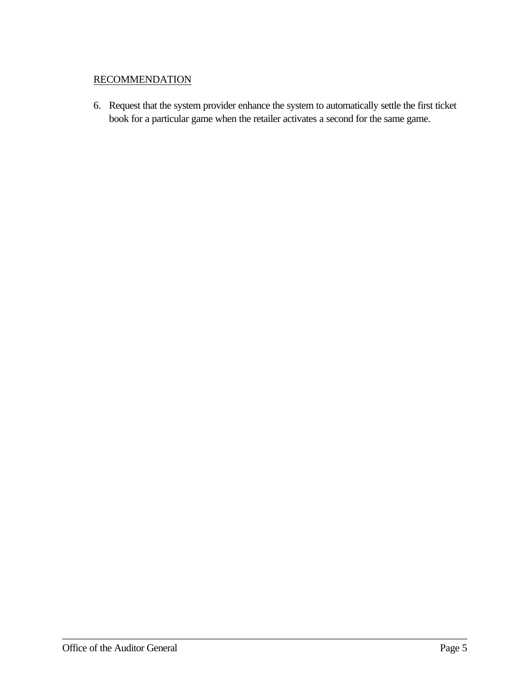## **RECOMMENDATION**

6. Request that the system provider enhance the system to automatically settle the first ticket book for a particular game when the retailer activates a second for the same game.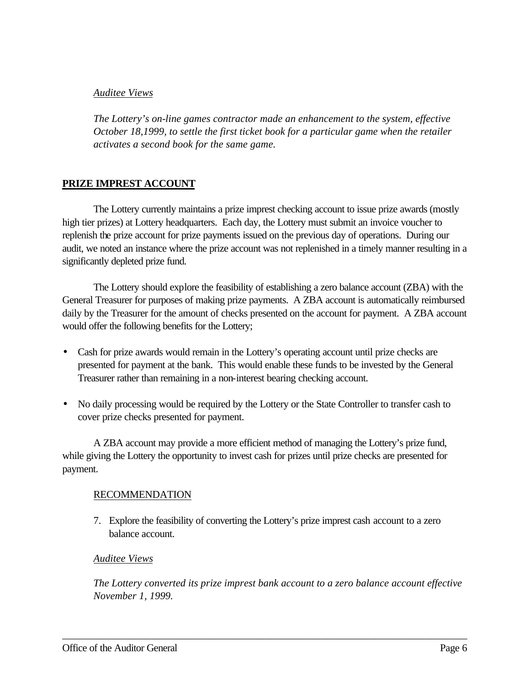#### *Auditee Views*

*The Lottery's on-line games contractor made an enhancement to the system, effective October 18,1999, to settle the first ticket book for a particular game when the retailer activates a second book for the same game.* 

## **PRIZE IMPREST ACCOUNT**

The Lottery currently maintains a prize imprest checking account to issue prize awards (mostly high tier prizes) at Lottery headquarters. Each day, the Lottery must submit an invoice voucher to replenish the prize account for prize payments issued on the previous day of operations. During our audit, we noted an instance where the prize account was not replenished in a timely manner resulting in a significantly depleted prize fund.

The Lottery should explore the feasibility of establishing a zero balance account (ZBA) with the General Treasurer for purposes of making prize payments. A ZBA account is automatically reimbursed daily by the Treasurer for the amount of checks presented on the account for payment. A ZBA account would offer the following benefits for the Lottery;

- Cash for prize awards would remain in the Lottery's operating account until prize checks are presented for payment at the bank. This would enable these funds to be invested by the General Treasurer rather than remaining in a non-interest bearing checking account.
- No daily processing would be required by the Lottery or the State Controller to transfer cash to cover prize checks presented for payment.

A ZBA account may provide a more efficient method of managing the Lottery's prize fund, while giving the Lottery the opportunity to invest cash for prizes until prize checks are presented for payment.

#### RECOMMENDATION

7. Explore the feasibility of converting the Lottery's prize imprest cash account to a zero balance account.

#### *Auditee Views*

*The Lottery converted its prize imprest bank account to a zero balance account effective November 1, 1999.*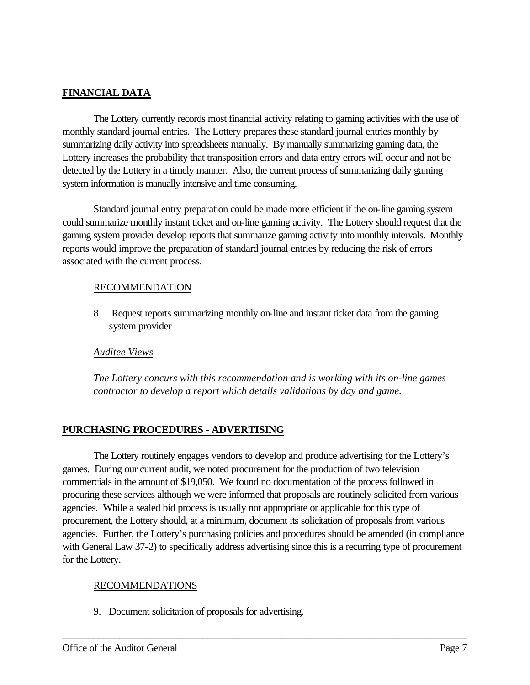# **FINANCIAL DATA**

The Lottery currently records most financial activity relating to gaming activities with the use of monthly standard journal entries. The Lottery prepares these standard journal entries monthly by summarizing daily activity into spreadsheets manually. By manually summarizing gaming data, the Lottery increases the probability that transposition errors and data entry errors will occur and not be detected by the Lottery in a timely manner. Also, the current process of summarizing daily gaming system information is manually intensive and time consuming.

Standard journal entry preparation could be made more efficient if the on-line gaming system could summarize monthly instant ticket and on-line gaming activity. The Lottery should request that the gaming system provider develop reports that summarize gaming activity into monthly intervals. Monthly reports would improve the preparation of standard journal entries by reducing the risk of errors associated with the current process.

#### RECOMMENDATION

8. Request reports summarizing monthly on-line and instant ticket data from the gaming system provider

#### *Auditee Views*

*The Lottery concurs with this recommendation and is working with its on-line games contractor to develop a report which details validations by day and game.* 

#### **PURCHASING PROCEDURES - ADVERTISING**

The Lottery routinely engages vendors to develop and produce advertising for the Lottery's games. During our current audit, we noted procurement for the production of two television commercials in the amount of \$19,050. We found no documentation of the process followed in procuring these services although we were informed that proposals are routinely solicited from various agencies. While a sealed bid process is usually not appropriate or applicable for this type of procurement, the Lottery should, at a minimum, document its solicitation of proposals from various agencies. Further, the Lottery's purchasing policies and procedures should be amended (in compliance with General Law 37-2) to specifically address advertising since this is a recurring type of procurement for the Lottery.

\_\_\_\_\_\_\_\_\_\_\_\_\_\_\_\_\_\_\_\_\_\_\_\_\_\_\_\_\_\_\_\_\_\_\_\_\_\_\_\_\_\_\_\_\_\_\_\_\_\_\_\_\_\_\_\_\_\_\_\_\_\_\_\_\_\_\_\_\_\_\_\_\_\_\_\_\_\_

#### RECOMMENDATIONS

9. Document solicitation of proposals for advertising.